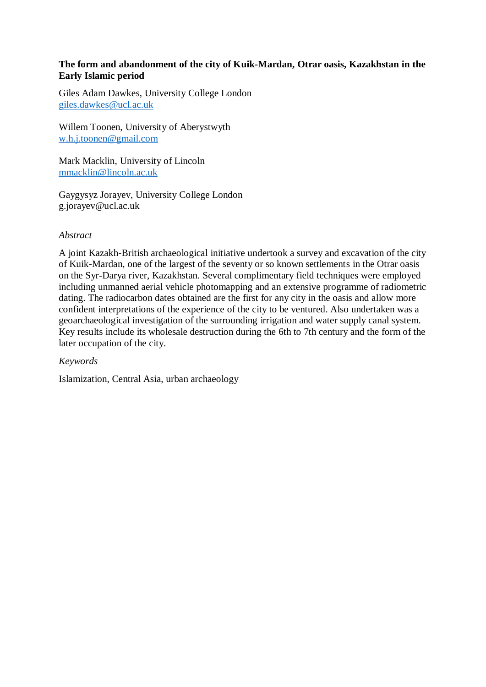## **The form and abandonment of the city of Kuik-Mardan, Otrar oasis, Kazakhstan in the Early Islamic period**

Giles Adam Dawkes, University College London [giles.dawkes@ucl.ac.uk](mailto:giles.dawkes@ucl.ac.uk)

Willem Toonen, University of Aberystwyth [w.h.j.toonen@gmail.com](mailto:w.h.j.toonen@gmail.com)

Mark Macklin, University of Lincoln [mmacklin@lincoln.ac.uk](mailto:mmacklin@lincoln.ac.uk)

Gaygysyz Jorayev, University College London g.jorayev@ucl.ac.uk

## *Abstract*

A joint Kazakh-British archaeological initiative undertook a survey and excavation of the city of Kuik-Mardan, one of the largest of the seventy or so known settlements in the Otrar oasis on the Syr-Darya river, Kazakhstan. Several complimentary field techniques were employed including unmanned aerial vehicle photomapping and an extensive programme of radiometric dating. The radiocarbon dates obtained are the first for any city in the oasis and allow more confident interpretations of the experience of the city to be ventured. Also undertaken was a geoarchaeological investigation of the surrounding irrigation and water supply canal system. Key results include its wholesale destruction during the 6th to 7th century and the form of the later occupation of the city.

### *Keywords*

Islamization, Central Asia, urban archaeology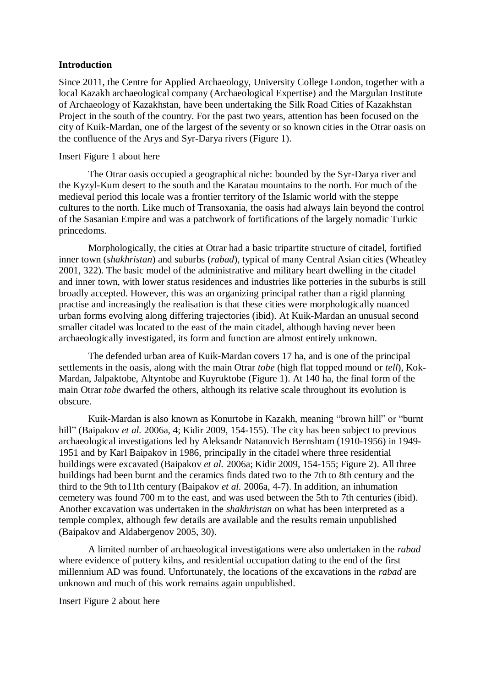### **Introduction**

Since 2011, the Centre for Applied Archaeology, University College London, together with a local Kazakh archaeological company (Archaeological Expertise) and the Margulan Institute of Archaeology of Kazakhstan, have been undertaking the Silk Road Cities of Kazakhstan Project in the south of the country. For the past two years, attention has been focused on the city of Kuik-Mardan, one of the largest of the seventy or so known cities in the Otrar oasis on the confluence of the Arys and Syr-Darya rivers (Figure 1).

## Insert Figure 1 about here

The Otrar oasis occupied a geographical niche: bounded by the Syr-Darya river and the Kyzyl-Kum desert to the south and the Karatau mountains to the north. For much of the medieval period this locale was a frontier territory of the Islamic world with the steppe cultures to the north. Like much of Transoxania, the oasis had always lain beyond the control of the Sasanian Empire and was a patchwork of fortifications of the largely nomadic Turkic princedoms.

Morphologically, the cities at Otrar had a basic tripartite structure of citadel, fortified inner town (*shakhristan*) and suburbs (*rabad*), typical of many Central Asian cities (Wheatley 2001, 322). The basic model of the administrative and military heart dwelling in the citadel and inner town, with lower status residences and industries like potteries in the suburbs is still broadly accepted. However, this was an organizing principal rather than a rigid planning practise and increasingly the realisation is that these cities were morphologically nuanced urban forms evolving along differing trajectories (ibid). At Kuik-Mardan an unusual second smaller citadel was located to the east of the main citadel, although having never been archaeologically investigated, its form and function are almost entirely unknown.

The defended urban area of Kuik-Mardan covers 17 ha, and is one of the principal settlements in the oasis, along with the main Otrar *tobe* (high flat topped mound or *tell*), Kok-Mardan, Jalpaktobe, Altyntobe and Kuyruktobe (Figure 1). At 140 ha, the final form of the main Otrar *tobe* dwarfed the others, although its relative scale throughout its evolution is obscure.

Kuik-Mardan is also known as Konurtobe in Kazakh, meaning "brown hill" or "burnt hill" (Baipakov *et al.* 2006a, 4; Kidir 2009, 154-155). The city has been subject to previous archaeological investigations led by Aleksandr Natanovich Bernshtam (1910-1956) in 1949- 1951 and by Karl Baipakov in 1986, principally in the citadel where three residential buildings were excavated (Baipakov *et al.* 2006a; Kidir 2009, 154-155; Figure 2). All three buildings had been burnt and the ceramics finds dated two to the 7th to 8th century and the third to the 9th to11th century (Baipakov *et al.* 2006a, 4-7). In addition, an inhumation cemetery was found 700 m to the east, and was used between the 5th to 7th centuries (ibid). Another excavation was undertaken in the *shakhristan* on what has been interpreted as a temple complex, although few details are available and the results remain unpublished (Baipakov and Aldabergenov 2005, 30).

A limited number of archaeological investigations were also undertaken in the *rabad* where evidence of pottery kilns, and residential occupation dating to the end of the first millennium AD was found. Unfortunately, the locations of the excavations in the *rabad* are unknown and much of this work remains again unpublished.

Insert Figure 2 about here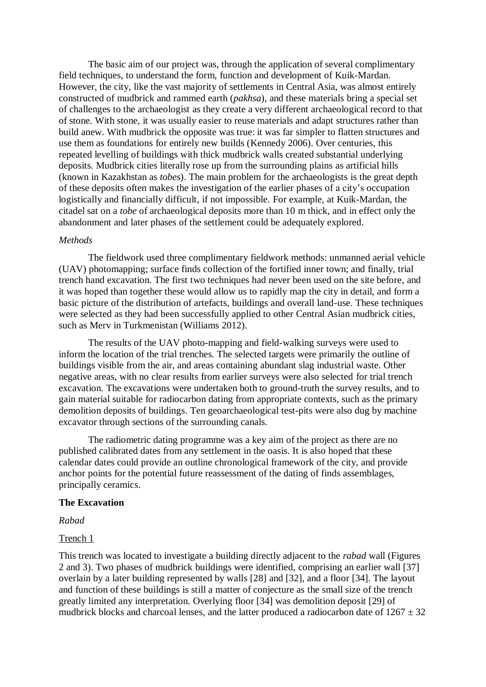The basic aim of our project was, through the application of several complimentary field techniques, to understand the form, function and development of Kuik-Mardan. However, the city, like the vast majority of settlements in Central Asia, was almost entirely constructed of mudbrick and rammed earth (*pakhsa*), and these materials bring a special set of challenges to the archaeologist as they create a very different archaeological record to that of stone. With stone, it was usually easier to reuse materials and adapt structures rather than build anew. With mudbrick the opposite was true: it was far simpler to flatten structures and use them as foundations for entirely new builds (Kennedy 2006). Over centuries, this repeated levelling of buildings with thick mudbrick walls created substantial underlying deposits. Mudbrick cities literally rose up from the surrounding plains as artificial hills (known in Kazakhstan as *tobes*). The main problem for the archaeologists is the great depth of these deposits often makes the investigation of the earlier phases of a city's occupation logistically and financially difficult, if not impossible. For example, at Kuik-Mardan, the citadel sat on a *tobe* of archaeological deposits more than 10 m thick, and in effect only the abandonment and later phases of the settlement could be adequately explored.

#### *Methods*

The fieldwork used three complimentary fieldwork methods: unmanned aerial vehicle (UAV) photomapping; surface finds collection of the fortified inner town; and finally, trial trench hand excavation. The first two techniques had never been used on the site before, and it was hoped than together these would allow us to rapidly map the city in detail, and form a basic picture of the distribution of artefacts, buildings and overall land-use. These techniques were selected as they had been successfully applied to other Central Asian mudbrick cities, such as Merv in Turkmenistan (Williams 2012).

The results of the UAV photo-mapping and field-walking surveys were used to inform the location of the trial trenches. The selected targets were primarily the outline of buildings visible from the air, and areas containing abundant slag industrial waste. Other negative areas, with no clear results from earlier surveys were also selected for trial trench excavation. The excavations were undertaken both to ground-truth the survey results, and to gain material suitable for radiocarbon dating from appropriate contexts, such as the primary demolition deposits of buildings. Ten geoarchaeological test-pits were also dug by machine excavator through sections of the surrounding canals.

The radiometric dating programme was a key aim of the project as there are no published calibrated dates from any settlement in the oasis. It is also hoped that these calendar dates could provide an outline chronological framework of the city, and provide anchor points for the potential future reassessment of the dating of finds assemblages, principally ceramics.

### **The Excavation**

#### *Rabad*

#### Trench 1

This trench was located to investigate a building directly adjacent to the *rabad* wall (Figures 2 and 3). Two phases of mudbrick buildings were identified, comprising an earlier wall [37] overlain by a later building represented by walls [28] and [32], and a floor [34]. The layout and function of these buildings is still a matter of conjecture as the small size of the trench greatly limited any interpretation. Overlying floor [34] was demolition deposit [29] of mudbrick blocks and charcoal lenses, and the latter produced a radiocarbon date of  $1267 \pm 32$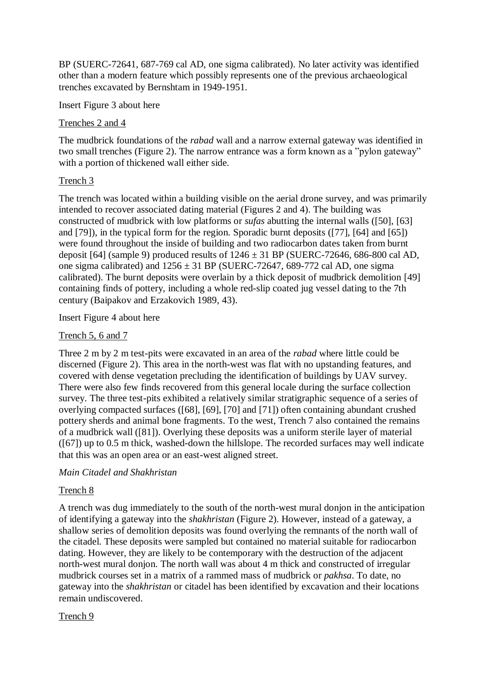BP (SUERC-72641, 687-769 cal AD, one sigma calibrated). No later activity was identified other than a modern feature which possibly represents one of the previous archaeological trenches excavated by Bernshtam in 1949-1951.

Insert Figure 3 about here

Trenches 2 and 4

The mudbrick foundations of the *rabad* wall and a narrow external gateway was identified in two small trenches (Figure 2). The narrow entrance was a form known as a "pylon gateway" with a portion of thickened wall either side.

# Trench 3

The trench was located within a building visible on the aerial drone survey, and was primarily intended to recover associated dating material (Figures 2 and 4). The building was constructed of mudbrick with low platforms or *sufas* abutting the internal walls ([50], [63] and [79]), in the typical form for the region. Sporadic burnt deposits ([77], [64] and [65]) were found throughout the inside of building and two radiocarbon dates taken from burnt deposit [64] (sample 9) produced results of  $1246 \pm 31$  BP (SUERC-72646, 686-800 cal AD, one sigma calibrated) and  $1256 \pm 31$  BP (SUERC-72647, 689-772 cal AD, one sigma calibrated). The burnt deposits were overlain by a thick deposit of mudbrick demolition [49] containing finds of pottery, including a whole red-slip coated jug vessel dating to the 7th century (Baipakov and Erzakovich 1989, 43).

Insert Figure 4 about here

Trench 5, 6 and 7

Three 2 m by 2 m test-pits were excavated in an area of the *rabad* where little could be discerned (Figure 2). This area in the north-west was flat with no upstanding features, and covered with dense vegetation precluding the identification of buildings by UAV survey. There were also few finds recovered from this general locale during the surface collection survey. The three test-pits exhibited a relatively similar stratigraphic sequence of a series of overlying compacted surfaces ([68], [69], [70] and [71]) often containing abundant crushed pottery sherds and animal bone fragments. To the west, Trench 7 also contained the remains of a mudbrick wall ([81]). Overlying these deposits was a uniform sterile layer of material  $(67)$  up to 0.5 m thick, washed-down the hillslope. The recorded surfaces may well indicate that this was an open area or an east-west aligned street.

# *Main Citadel and Shakhristan*

# Trench 8

A trench was dug immediately to the south of the north-west mural donjon in the anticipation of identifying a gateway into the *shakhristan* (Figure 2). However, instead of a gateway, a shallow series of demolition deposits was found overlying the remnants of the north wall of the citadel. These deposits were sampled but contained no material suitable for radiocarbon dating. However, they are likely to be contemporary with the destruction of the adjacent north-west mural donjon. The north wall was about 4 m thick and constructed of irregular mudbrick courses set in a matrix of a rammed mass of mudbrick or *pakhsa*. To date, no gateway into the *shakhristan* or citadel has been identified by excavation and their locations remain undiscovered.

# Trench 9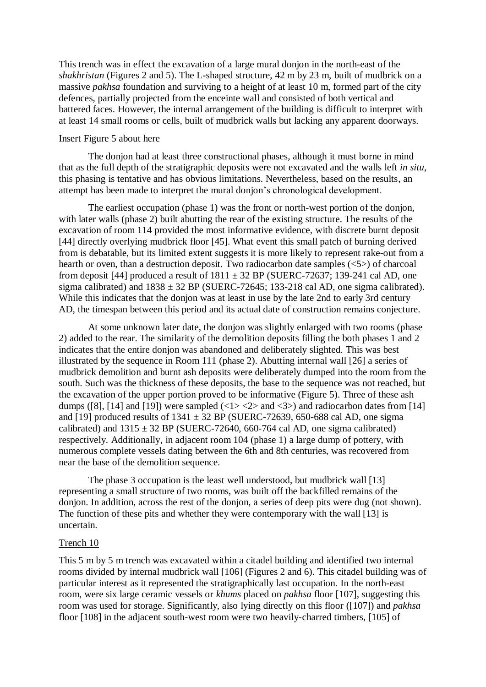This trench was in effect the excavation of a large mural donjon in the north-east of the *shakhristan* (Figures 2 and 5). The L-shaped structure, 42 m by 23 m, built of mudbrick on a massive *pakhsa* foundation and surviving to a height of at least 10 m, formed part of the city defences, partially projected from the enceinte wall and consisted of both vertical and battered faces. However, the internal arrangement of the building is difficult to interpret with at least 14 small rooms or cells, built of mudbrick walls but lacking any apparent doorways.

### Insert Figure 5 about here

The donjon had at least three constructional phases, although it must borne in mind that as the full depth of the stratigraphic deposits were not excavated and the walls left *in situ*, this phasing is tentative and has obvious limitations. Nevertheless, based on the results, an attempt has been made to interpret the mural donjon's chronological development.

The earliest occupation (phase 1) was the front or north-west portion of the donjon, with later walls (phase 2) built abutting the rear of the existing structure. The results of the excavation of room 114 provided the most informative evidence, with discrete burnt deposit [44] directly overlying mudbrick floor [45]. What event this small patch of burning derived from is debatable, but its limited extent suggests it is more likely to represent rake-out from a hearth or oven, than a destruction deposit. Two radiocarbon date samples (<5>) of charcoal from deposit [44] produced a result of  $1811 \pm 32$  BP (SUERC-72637; 139-241 cal AD, one sigma calibrated) and  $1838 \pm 32$  BP (SUERC-72645; 133-218 cal AD, one sigma calibrated). While this indicates that the donjon was at least in use by the late 2nd to early 3rd century AD, the timespan between this period and its actual date of construction remains conjecture.

At some unknown later date, the donjon was slightly enlarged with two rooms (phase 2) added to the rear. The similarity of the demolition deposits filling the both phases 1 and 2 indicates that the entire donjon was abandoned and deliberately slighted. This was best illustrated by the sequence in Room 111 (phase 2). Abutting internal wall [26] a series of mudbrick demolition and burnt ash deposits were deliberately dumped into the room from the south. Such was the thickness of these deposits, the base to the sequence was not reached, but the excavation of the upper portion proved to be informative (Figure 5). Three of these ash dumps ([8], [14] and [19]) were sampled  $(\langle 1 \rangle \langle 2 \rangle$  and  $\langle 3 \rangle$  and radiocarbon dates from [14] and [19] produced results of  $1341 \pm 32$  BP (SUERC-72639, 650-688 cal AD, one sigma calibrated) and  $1315 \pm 32$  BP (SUERC-72640, 660-764 cal AD, one sigma calibrated) respectively. Additionally, in adjacent room 104 (phase 1) a large dump of pottery, with numerous complete vessels dating between the 6th and 8th centuries, was recovered from near the base of the demolition sequence.

The phase 3 occupation is the least well understood, but mudbrick wall [13] representing a small structure of two rooms, was built off the backfilled remains of the donjon. In addition, across the rest of the donjon, a series of deep pits were dug (not shown). The function of these pits and whether they were contemporary with the wall [13] is uncertain.

### Trench 10

This 5 m by 5 m trench was excavated within a citadel building and identified two internal rooms divided by internal mudbrick wall [106] (Figures 2 and 6). This citadel building was of particular interest as it represented the stratigraphically last occupation. In the north-east room, were six large ceramic vessels or *khums* placed on *pakhsa* floor [107], suggesting this room was used for storage. Significantly, also lying directly on this floor ([107]) and *pakhsa*  floor [108] in the adjacent south-west room were two heavily-charred timbers, [105] of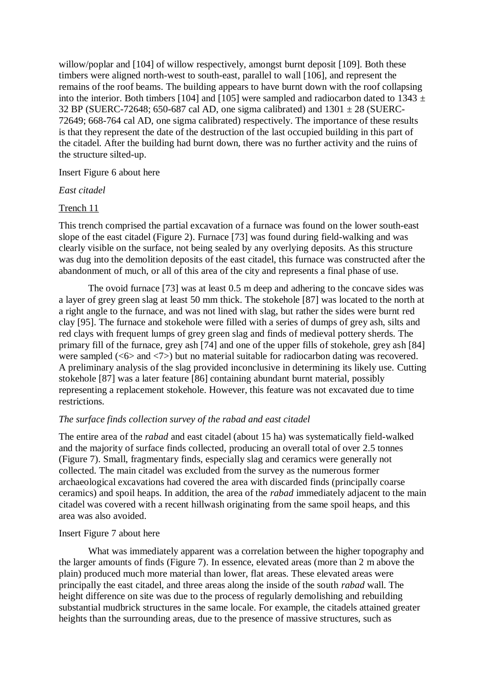willow/poplar and [104] of willow respectively, amongst burnt deposit [109]. Both these timbers were aligned north-west to south-east, parallel to wall [106], and represent the remains of the roof beams. The building appears to have burnt down with the roof collapsing into the interior. Both timbers [104] and [105] were sampled and radiocarbon dated to 1343  $\pm$ 32 BP (SUERC-72648; 650-687 cal AD, one sigma calibrated) and  $1301 \pm 28$  (SUERC-72649; 668-764 cal AD, one sigma calibrated) respectively. The importance of these results is that they represent the date of the destruction of the last occupied building in this part of the citadel. After the building had burnt down, there was no further activity and the ruins of the structure silted-up.

Insert Figure 6 about here

### *East citadel*

## Trench 11

This trench comprised the partial excavation of a furnace was found on the lower south-east slope of the east citadel (Figure 2). Furnace [73] was found during field-walking and was clearly visible on the surface, not being sealed by any overlying deposits. As this structure was dug into the demolition deposits of the east citadel, this furnace was constructed after the abandonment of much, or all of this area of the city and represents a final phase of use.

The ovoid furnace [73] was at least 0.5 m deep and adhering to the concave sides was a layer of grey green slag at least 50 mm thick. The stokehole [87] was located to the north at a right angle to the furnace, and was not lined with slag, but rather the sides were burnt red clay [95]. The furnace and stokehole were filled with a series of dumps of grey ash, silts and red clays with frequent lumps of grey green slag and finds of medieval pottery sherds. The primary fill of the furnace, grey ash [74] and one of the upper fills of stokehole, grey ash [84] were sampled  $( $6$  and  $<$ 7 $)$  but no material suitable for radiocarbon dating was recovered.$ A preliminary analysis of the slag provided inconclusive in determining its likely use. Cutting stokehole [87] was a later feature [86] containing abundant burnt material, possibly representing a replacement stokehole. However, this feature was not excavated due to time restrictions.

### *The surface finds collection survey of the rabad and east citadel*

The entire area of the *rabad* and east citadel (about 15 ha) was systematically field-walked and the majority of surface finds collected, producing an overall total of over 2.5 tonnes (Figure 7). Small, fragmentary finds, especially slag and ceramics were generally not collected. The main citadel was excluded from the survey as the numerous former archaeological excavations had covered the area with discarded finds (principally coarse ceramics) and spoil heaps. In addition, the area of the *rabad* immediately adjacent to the main citadel was covered with a recent hillwash originating from the same spoil heaps, and this area was also avoided.

### Insert Figure 7 about here

What was immediately apparent was a correlation between the higher topography and the larger amounts of finds (Figure 7). In essence, elevated areas (more than 2 m above the plain) produced much more material than lower, flat areas. These elevated areas were principally the east citadel, and three areas along the inside of the south *rabad* wall. The height difference on site was due to the process of regularly demolishing and rebuilding substantial mudbrick structures in the same locale. For example, the citadels attained greater heights than the surrounding areas, due to the presence of massive structures, such as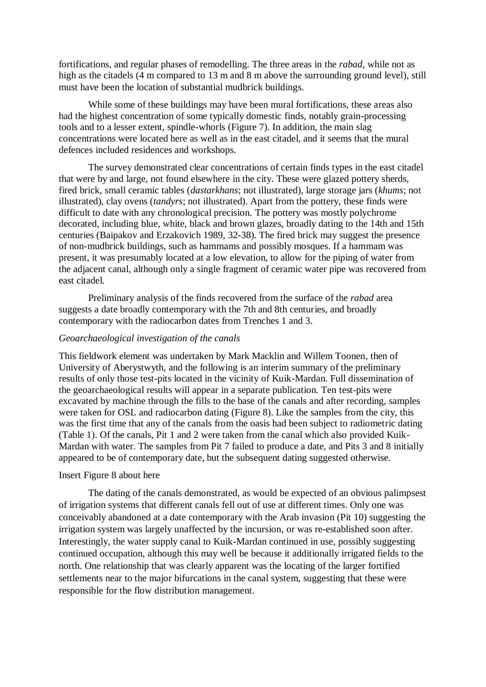fortifications, and regular phases of remodelling. The three areas in the *rabad*, while not as high as the citadels (4 m compared to 13 m and 8 m above the surrounding ground level), still must have been the location of substantial mudbrick buildings.

While some of these buildings may have been mural fortifications, these areas also had the highest concentration of some typically domestic finds, notably grain-processing tools and to a lesser extent, spindle-whorls (Figure 7). In addition, the main slag concentrations were located here as well as in the east citadel, and it seems that the mural defences included residences and workshops.

The survey demonstrated clear concentrations of certain finds types in the east citadel that were by and large, not found elsewhere in the city. These were glazed pottery sherds, fired brick, small ceramic tables (*dastarkhans*; not illustrated), large storage jars (*khums*; not illustrated), clay ovens (*tandyrs*; not illustrated). Apart from the pottery, these finds were difficult to date with any chronological precision. The pottery was mostly polychrome decorated, including blue, white, black and brown glazes, broadly dating to the 14th and 15th centuries (Baipakov and Erzakovich 1989, 32-38). The fired brick may suggest the presence of non-mudbrick buildings, such as hammams and possibly mosques. If a hammam was present, it was presumably located at a low elevation, to allow for the piping of water from the adjacent canal, although only a single fragment of ceramic water pipe was recovered from east citadel.

Preliminary analysis of the finds recovered from the surface of the *rabad* area suggests a date broadly contemporary with the 7th and 8th centuries, and broadly contemporary with the radiocarbon dates from Trenches 1 and 3.

### *Geoarchaeological investigation of the canals*

This fieldwork element was undertaken by Mark Macklin and Willem Toonen, then of University of Aberystwyth, and the following is an interim summary of the preliminary results of only those test-pits located in the vicinity of Kuik-Mardan. Full dissemination of the geoarchaeological results will appear in a separate publication. Ten test-pits were excavated by machine through the fills to the base of the canals and after recording, samples were taken for OSL and radiocarbon dating (Figure 8). Like the samples from the city, this was the first time that any of the canals from the oasis had been subject to radiometric dating (Table 1). Of the canals, Pit 1 and 2 were taken from the canal which also provided Kuik-Mardan with water. The samples from Pit 7 failed to produce a date, and Pits 3 and 8 initially appeared to be of contemporary date, but the subsequent dating suggested otherwise.

#### Insert Figure 8 about here

The dating of the canals demonstrated, as would be expected of an obvious palimpsest of irrigation systems that different canals fell out of use at different times. Only one was conceivably abandoned at a date contemporary with the Arab invasion (Pit 10) suggesting the irrigation system was largely unaffected by the incursion, or was re-established soon after. Interestingly, the water supply canal to Kuik-Mardan continued in use, possibly suggesting continued occupation, although this may well be because it additionally irrigated fields to the north. One relationship that was clearly apparent was the locating of the larger fortified settlements near to the major bifurcations in the canal system, suggesting that these were responsible for the flow distribution management.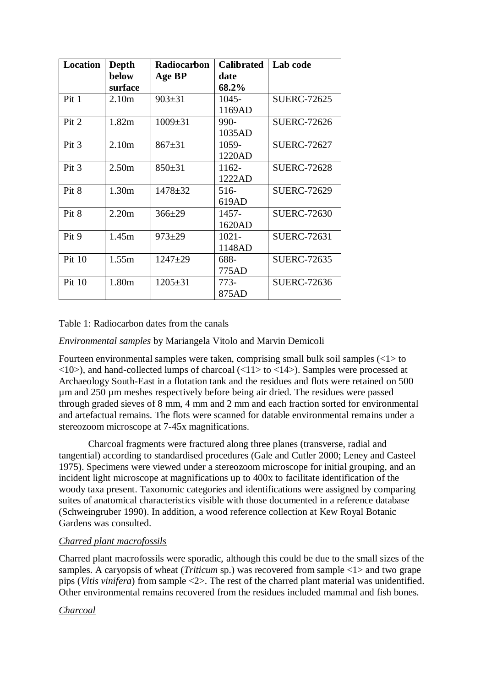| Location | Depth             | Radiocarbon   | <b>Calibrated</b> | Lab code           |
|----------|-------------------|---------------|-------------------|--------------------|
|          | below             | Age BP        | date              |                    |
|          | surface           |               | 68.2%             |                    |
| Pit 1    | 2.10 <sub>m</sub> | $903 \pm 31$  | 1045-             | <b>SUERC-72625</b> |
|          |                   |               | 1169AD            |                    |
| Pit 2    | 1.82m             | $1009 \pm 31$ | 990-              | <b>SUERC-72626</b> |
|          |                   |               | 1035AD            |                    |
| Pit 3    | 2.10 <sub>m</sub> | $867 + 31$    | 1059-             | <b>SUERC-72627</b> |
|          |                   |               | 1220AD            |                    |
| Pit 3    | 2.50 <sub>m</sub> | $850+31$      | 1162-             | <b>SUERC-72628</b> |
|          |                   |               | 1222AD            |                    |
| Pit 8    | 1.30m             | $1478 + 32$   | 516-              | <b>SUERC-72629</b> |
|          |                   |               | 619AD             |                    |
| Pit 8    | 2.20 <sub>m</sub> | $366 \pm 29$  | 1457-             | <b>SUERC-72630</b> |
|          |                   |               | 1620AD            |                    |
| Pit 9    | 1.45m             | $973 + 29$    | $1021 -$          | <b>SUERC-72631</b> |
|          |                   |               | 1148AD            |                    |
| Pit 10   | 1.55m             | $1247 + 29$   | 688-              | <b>SUERC-72635</b> |
|          |                   |               | 775AD             |                    |
| Pit $10$ | 1.80m             | $1205 \pm 31$ | 773-              | <b>SUERC-72636</b> |
|          |                   |               | 875AD             |                    |

Table 1: Radiocarbon dates from the canals

*Environmental samples* by Mariangela Vitolo and Marvin Demicoli

Fourteen environmental samples were taken, comprising small bulk soil samples  $\left\langle \langle 1 \rangle \right\rangle$  to <10>), and hand-collected lumps of charcoal (<11> to <14>). Samples were processed at Archaeology South-East in a flotation tank and the residues and flots were retained on 500 µm and 250 µm meshes respectively before being air dried. The residues were passed through graded sieves of 8 mm, 4 mm and 2 mm and each fraction sorted for environmental and artefactual remains. The flots were scanned for datable environmental remains under a stereozoom microscope at 7-45x magnifications.

Charcoal fragments were fractured along three planes (transverse, radial and tangential) according to standardised procedures (Gale and Cutler 2000; Leney and Casteel 1975). Specimens were viewed under a stereozoom microscope for initial grouping, and an incident light microscope at magnifications up to 400x to facilitate identification of the woody taxa present. Taxonomic categories and identifications were assigned by comparing suites of anatomical characteristics visible with those documented in a reference database (Schweingruber 1990). In addition, a wood reference collection at Kew Royal Botanic Gardens was consulted.

# *Charred plant macrofossils*

Charred plant macrofossils were sporadic, although this could be due to the small sizes of the samples. A caryopsis of wheat *(Triticum sp.)* was recovered from sample  $\langle 1 \rangle$  and two grape pips (*Vitis vinifera*) from sample <2>. The rest of the charred plant material was unidentified. Other environmental remains recovered from the residues included mammal and fish bones.

# *Charcoal*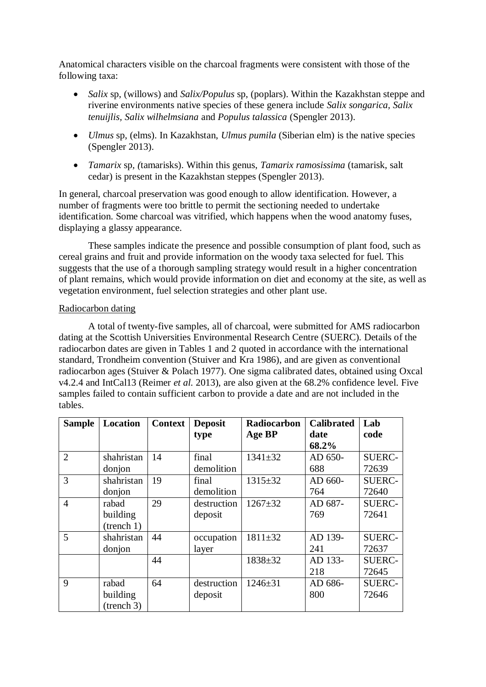Anatomical characters visible on the charcoal fragments were consistent with those of the following taxa:

- *Salix* sp, (willows) and *Salix/Populus* sp, (poplars). Within the Kazakhstan steppe and riverine environments native species of these genera include *Salix songarica, Salix tenuijlis, Salix wilhelmsiana* and *Populus talassica* (Spengler 2013).
- *Ulmus* sp, (elms). In Kazakhstan, *Ulmus pumila* (Siberian elm) is the native species (Spengler 2013).
- *Tamarix* sp*, (*tamarisks). Within this genus, *Tamarix ramosissima* (tamarisk, salt cedar) is present in the Kazakhstan steppes (Spengler 2013).

In general, charcoal preservation was good enough to allow identification. However, a number of fragments were too brittle to permit the sectioning needed to undertake identification. Some charcoal was vitrified, which happens when the wood anatomy fuses, displaying a glassy appearance.

These samples indicate the presence and possible consumption of plant food, such as cereal grains and fruit and provide information on the woody taxa selected for fuel. This suggests that the use of a thorough sampling strategy would result in a higher concentration of plant remains, which would provide information on diet and economy at the site, as well as vegetation environment, fuel selection strategies and other plant use.

### Radiocarbon dating

A total of twenty-five samples, all of charcoal, were submitted for AMS radiocarbon dating at the Scottish Universities Environmental Research Centre (SUERC). Details of the radiocarbon dates are given in Tables 1 and 2 quoted in accordance with the international standard, Trondheim convention (Stuiver and Kra 1986), and are given as conventional radiocarbon ages (Stuiver & Polach 1977). One sigma calibrated dates, obtained using Oxcal v4.2.4 and IntCal13 (Reimer *et al.* 2013), are also given at the 68.2% confidence level. Five samples failed to contain sufficient carbon to provide a date and are not included in the tables.

| <b>Sample</b>  | Location         | <b>Context</b> | <b>Deposit</b> | Radiocarbon   | <b>Calibrated</b> | Lab           |
|----------------|------------------|----------------|----------------|---------------|-------------------|---------------|
|                |                  |                | type           | Age BP        | date              | code          |
|                |                  |                |                |               | 68.2%             |               |
| $\overline{2}$ | shahristan       | 14             | final          | $1341 \pm 32$ | AD 650-           | <b>SUERC-</b> |
|                | donjon           |                | demolition     |               | 688               | 72639         |
| 3              | shahristan       | 19             | final          | $1315 \pm 32$ | AD 660-           | <b>SUERC-</b> |
|                | donjon           |                | demolition     |               | 764               | 72640         |
| 4              | rabad            | 29             | destruction    | $1267 + 32$   | AD 687-           | <b>SUERC-</b> |
|                | building         |                | deposit        |               | 769               | 72641         |
|                | $($ trench 1)    |                |                |               |                   |               |
| 5              | shahristan       | 44             | occupation     | $1811 \pm 32$ | AD 139-           | <b>SUERC-</b> |
|                | donjon           |                | layer          |               | 241               | 72637         |
|                |                  | 44             |                | 1838±32       | AD 133-           | <b>SUERC-</b> |
|                |                  |                |                |               | 218               | 72645         |
| 9              | rabad            | 64             | destruction    | $1246 \pm 31$ | AD 686-           | <b>SUERC-</b> |
|                | building         |                | deposit        |               | 800               | 72646         |
|                | $($ trench 3 $)$ |                |                |               |                   |               |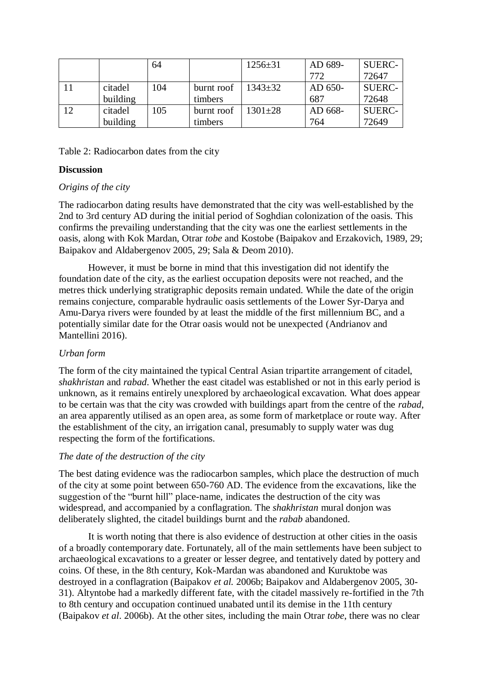|    |          | 64  |            | $1256 \pm 31$ | AD 689- | SUERC-        |
|----|----------|-----|------------|---------------|---------|---------------|
|    |          |     |            |               | 772.    | 72647         |
|    | citadel  | 104 | burnt roof | $1343 \pm 32$ | AD 650- | SUERC-        |
|    | building |     | timbers    |               | 687     | 72648         |
| 12 | citadel  | 105 | burnt roof | $1301 \pm 28$ | AD 668- | <b>SUERC-</b> |
|    | building |     | timbers    |               | 764     | 72649         |

Table 2: Radiocarbon dates from the city

## **Discussion**

## *Origins of the city*

The radiocarbon dating results have demonstrated that the city was well-established by the 2nd to 3rd century AD during the initial period of Soghdian colonization of the oasis. This confirms the prevailing understanding that the city was one the earliest settlements in the oasis, along with Kok Mardan, Otrar *tobe* and Kostobe (Baipakov and Erzakovich, 1989, 29; Baipakov and Aldabergenov 2005, 29; Sala & Deom 2010).

However, it must be borne in mind that this investigation did not identify the foundation date of the city, as the earliest occupation deposits were not reached, and the metres thick underlying stratigraphic deposits remain undated. While the date of the origin remains conjecture, comparable hydraulic oasis settlements of the Lower Syr-Darya and Amu-Darya rivers were founded by at least the middle of the first millennium BC, and a potentially similar date for the Otrar oasis would not be unexpected (Andrianov and Mantellini 2016).

# *Urban form*

The form of the city maintained the typical Central Asian tripartite arrangement of citadel, *shakhristan* and *rabad*. Whether the east citadel was established or not in this early period is unknown, as it remains entirely unexplored by archaeological excavation. What does appear to be certain was that the city was crowded with buildings apart from the centre of the *rabad*, an area apparently utilised as an open area, as some form of marketplace or route way. After the establishment of the city, an irrigation canal, presumably to supply water was dug respecting the form of the fortifications.

### *The date of the destruction of the city*

The best dating evidence was the radiocarbon samples, which place the destruction of much of the city at some point between 650-760 AD. The evidence from the excavations, like the suggestion of the "burnt hill" place-name, indicates the destruction of the city was widespread, and accompanied by a conflagration. The *shakhristan* mural donjon was deliberately slighted, the citadel buildings burnt and the *rabab* abandoned.

It is worth noting that there is also evidence of destruction at other cities in the oasis of a broadly contemporary date. Fortunately, all of the main settlements have been subject to archaeological excavations to a greater or lesser degree, and tentatively dated by pottery and coins. Of these, in the 8th century, Kok-Mardan was abandoned and Kuruktobe was destroyed in a conflagration (Baipakov *et al.* 2006b; Baipakov and Aldabergenov 2005, 30- 31). Altyntobe had a markedly different fate, with the citadel massively re-fortified in the 7th to 8th century and occupation continued unabated until its demise in the 11th century (Baipakov *et al*. 2006b). At the other sites, including the main Otrar *tobe*, there was no clear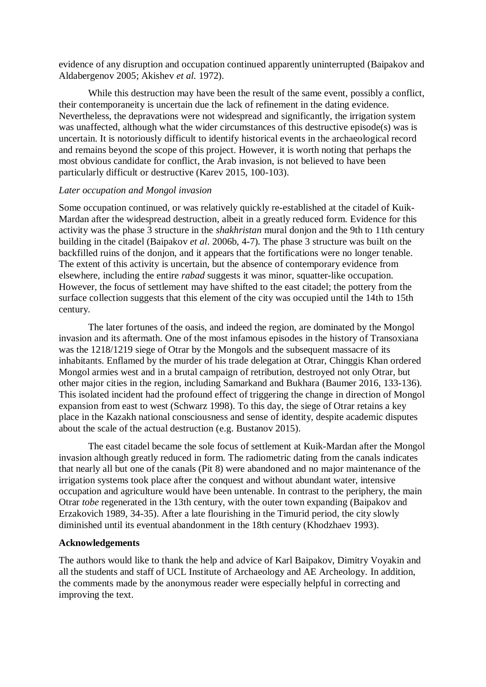evidence of any disruption and occupation continued apparently uninterrupted (Baipakov and Aldabergenov 2005; Akishev *et al.* 1972).

While this destruction may have been the result of the same event, possibly a conflict, their contemporaneity is uncertain due the lack of refinement in the dating evidence. Nevertheless, the depravations were not widespread and significantly, the irrigation system was unaffected, although what the wider circumstances of this destructive episode(s) was is uncertain. It is notoriously difficult to identify historical events in the archaeological record and remains beyond the scope of this project. However, it is worth noting that perhaps the most obvious candidate for conflict, the Arab invasion, is not believed to have been particularly difficult or destructive (Karev 2015, 100-103).

#### *Later occupation and Mongol invasion*

Some occupation continued, or was relatively quickly re-established at the citadel of Kuik-Mardan after the widespread destruction, albeit in a greatly reduced form. Evidence for this activity was the phase 3 structure in the *shakhristan* mural donjon and the 9th to 11th century building in the citadel (Baipakov *et al*. 2006b, 4-7). The phase 3 structure was built on the backfilled ruins of the donjon, and it appears that the fortifications were no longer tenable. The extent of this activity is uncertain, but the absence of contemporary evidence from elsewhere, including the entire *rabad* suggests it was minor, squatter-like occupation. However, the focus of settlement may have shifted to the east citadel; the pottery from the surface collection suggests that this element of the city was occupied until the 14th to 15th century.

The later fortunes of the oasis, and indeed the region, are dominated by the Mongol invasion and its aftermath. One of the most infamous episodes in the history of Transoxiana was the 1218/1219 siege of Otrar by the Mongols and the subsequent massacre of its inhabitants. Enflamed by the murder of his trade delegation at Otrar, Chinggis Khan ordered Mongol armies west and in a brutal campaign of retribution, destroyed not only Otrar, but other major cities in the region, including Samarkand and Bukhara (Baumer 2016, 133-136). This isolated incident had the profound effect of triggering the change in direction of Mongol expansion from east to west (Schwarz 1998). To this day, the siege of Otrar retains a key place in the Kazakh national consciousness and sense of identity, despite academic disputes about the scale of the actual destruction (e.g. Bustanov 2015).

The east citadel became the sole focus of settlement at Kuik-Mardan after the Mongol invasion although greatly reduced in form. The radiometric dating from the canals indicates that nearly all but one of the canals (Pit 8) were abandoned and no major maintenance of the irrigation systems took place after the conquest and without abundant water, intensive occupation and agriculture would have been untenable. In contrast to the periphery, the main Otrar *tobe* regenerated in the 13th century, with the outer town expanding (Baipakov and Erzakovich 1989, 34-35). After a late flourishing in the Timurid period, the city slowly diminished until its eventual abandonment in the 18th century (Khodzhaev 1993).

### **Acknowledgements**

The authors would like to thank the help and advice of Karl Baipakov, Dimitry Voyakin and all the students and staff of UCL Institute of Archaeology and AE Archeology. In addition, the comments made by the anonymous reader were especially helpful in correcting and improving the text.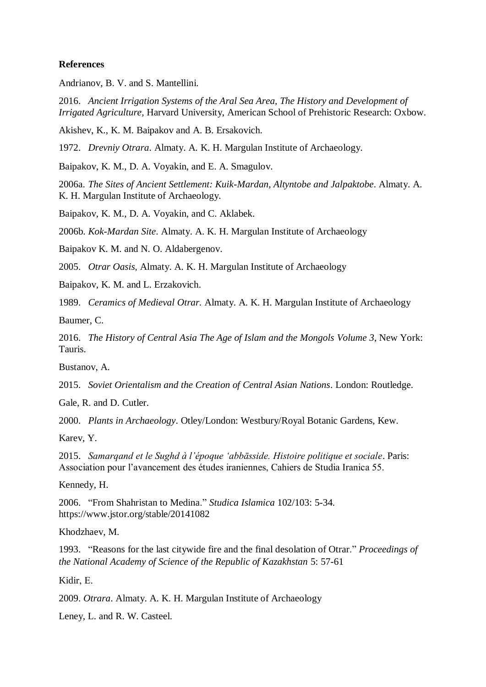## **References**

Andrianov, B. V. and S. Mantellini.

2016. *Ancient Irrigation Systems of the Aral Sea Area, The History and Development of Irrigated Agriculture*, Harvard University, American School of Prehistoric Research: Oxbow.

Akishev, K., K. M. Baipakov and A. B. Ersakovich.

1972. *Drevniy Otrara*. Almaty. A. K. H. Margulan Institute of Archaeology.

Baipakov, K. M., D. A. Voyakin, and E. A. Smagulov.

2006a. *The Sites of Ancient Settlement: Kuik-Mardan, Altyntobe and Jalpaktobe*. Almaty. A. K. H. Margulan Institute of Archaeology.

Baipakov, K. M., D. A. Voyakin, and C. Aklabek.

2006b. *Kok-Mardan Site*. Almaty. A. K. H. Margulan Institute of Archaeology

Baipakov K. M. and N. O. Aldabergenov.

2005. *Otrar Oasis*, Almaty. A. K. H. Margulan Institute of Archaeology

Baipakov, K. M. and L. Erzakovich.

1989. *Ceramics of Medieval Otrar.* Almaty. A. K. H. Margulan Institute of Archaeology

Baumer, C.

2016. *The History of Central Asia The Age of Islam and the Mongols Volume 3*, New York: Tauris.

Bustanov, A.

2015. *Soviet Orientalism and the Creation of Central Asian Nations*. London: Routledge.

Gale, R. and D. Cutler.

2000. *Plants in Archaeology*. Otley/London: Westbury/Royal Botanic Gardens, Kew.

Karev, Y.

2015. *Samarqand et le Sughd à l'époque 'abbāsside. Histoire politique et sociale*. Paris: Association pour l'avancement des études iraniennes, Cahiers de Studia Iranica 55.

Kennedy, H.

2006. "From Shahristan to Medina." *Studica Islamica* 102/103: 5-34. https://www.jstor.org/stable/20141082

Khodzhaev, M.

1993. "Reasons for the last citywide fire and the final desolation of Otrar." *Proceedings of the National Academy of Science of the Republic of Kazakhstan* 5: 57-61

Kidir, Е.

2009. *Otrara*. Almaty. A. K. H. Margulan Institute of Archaeology

Leney, L. and R. W. Casteel.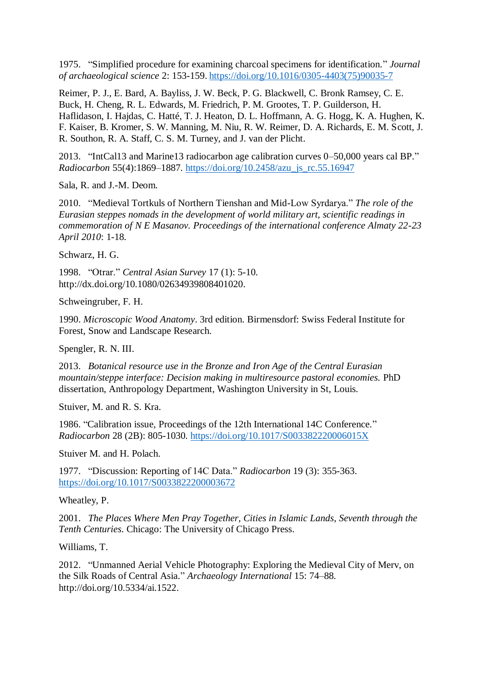1975. "Simplified procedure for examining charcoal specimens for identification." *Journal of archaeological science* 2: 153-159. [https://doi.org/10.1016/0305-4403\(75\)90035-7](https://doi.org/10.1016/0305-4403(75)90035-7)

Reimer, P. J., E. Bard, A. Bayliss, J. W. Beck, P. G. Blackwell, C. Bronk Ramsey, C. E. Buck, H. Cheng, R. L. Edwards, M. Friedrich, P. M. Grootes, T. P. Guilderson, H. Haflidason, I. Hajdas, C. Hatté, T. J. Heaton, D. L. Hoffmann, A. G. Hogg, K. A. Hughen, K. F. Kaiser, B. Kromer, S. W. Manning, M. Niu, R. W. Reimer, D. A. Richards, E. M. Scott, J. R. Southon, R. A. Staff, C. S. M. Turney, and J. van der Plicht.

2013. "IntCal13 and Marine13 radiocarbon age calibration curves 0–50,000 years cal BP." *Radiocarbon* 55(4):1869–1887. [https://doi.org/10.2458/azu\\_js\\_rc.55.16947](https://doi.org/10.2458/azu_js_rc.55.16947)

Sala, R. and J.-M. Deom.

2010. "Medieval Tortkuls of Northern Tienshan and Mid-Low Syrdarya." *The role of the Eurasian steppes nomads in the development of world military art, scientific readings in commemoration of N E Masanov. Proceedings of the international conference Almaty 22-23 April 2010*: 1-18*.*

Schwarz, H. G.

1998. "Otrar." *Central Asian Survey* 17 (1): 5-10. [http://dx.doi.org/10.1080/02634939808401020.](http://dx.doi.org/10.1080/02634939808401020)

Schweingruber, F. H.

1990. *Microscopic Wood Anatomy*. 3rd edition. Birmensdorf: Swiss Federal Institute for Forest, Snow and Landscape Research.

Spengler, R. N. III.

2013. *Botanical resource use in the Bronze and Iron Age of the Central Eurasian mountain/steppe interface: Decision making in multiresource pastoral economies.* PhD dissertation, Anthropology Department, Washington University in St, Louis.

Stuiver, M. and R. S. Kra.

1986. "Calibration issue, Proceedings of the 12th International 14C Conference." *Radiocarbon* 28 (2B): 805-1030. <https://doi.org/10.1017/S003382220006015X>

Stuiver M. and H. Polach.

1977. "Discussion: Reporting of 14C Data." *Radiocarbon* 19 (3): 355-363. <https://doi.org/10.1017/S0033822200003672>

Wheatley, P.

2001. *The Places Where Men Pray Together, Cities in Islamic Lands, Seventh through the Tenth Centuries*. Chicago: The University of Chicago Press.

Williams, T.

2012. "Unmanned Aerial Vehicle Photography: Exploring the Medieval City of Merv, on the Silk Roads of Central Asia." *Archaeology International* 15: 74–88. [http://doi.org/10.5334/ai.1522.](http://doi.org/10.5334/ai.1522)